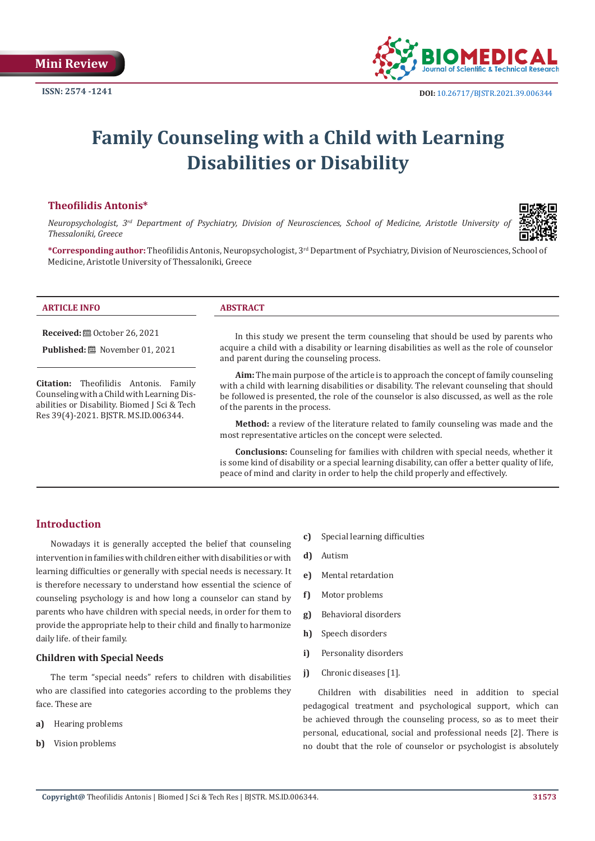

# **Family Counseling with a Child with Learning Disabilities or Disability**

## **Theofilidis Antonis\***

Counseling with a Child with Learning Disabilities or Disability. Biomed J Sci & Tech Res 39(4)-2021. BJSTR. MS.ID.006344.

*Neuropsychologist, 3rd Department of Psychiatry, Division of Neurosciences, School of Medicine, Aristotle University of Thessaloniki, Greece*



**\*Corresponding author:** Theofilidis Antonis, Neuropsychologist, 3rd Department of Psychiatry, Division of Neurosciences, School of Medicine, Aristotle University of Thessaloniki, Greece

| <b>ARTICLE INFO</b>                                                                  | <b>ABSTRACT</b>                                                                                                                                                                                                             |
|--------------------------------------------------------------------------------------|-----------------------------------------------------------------------------------------------------------------------------------------------------------------------------------------------------------------------------|
| <b>Received:</b> $\mathbf{a}$ October 26, 2021<br>Published: [201] November 01, 2021 | In this study we present the term counseling that should be used by parents who<br>acquire a child with a disability or learning disabilities as well as the role of counselor<br>and parent during the counseling process. |
| <b>Citation:</b> Theofilidis Antonis.<br>Family                                      | Aim: The main purpose of the article is to approach the concept of family counseling<br>with a child with learning disabilities or disability. The relevant counseling that should                                          |

with a child with learning disabilities or disability. The relevant counseling that should be followed is presented, the role of the counselor is also discussed, as well as the role of the parents in the process.

**Method:** a review of the literature related to family counseling was made and the most representative articles on the concept were selected.

**Conclusions:** Counseling for families with children with special needs, whether it is some kind of disability or a special learning disability, can offer a better quality of life, peace of mind and clarity in order to help the child properly and effectively.

# **Introduction**

Nowadays it is generally accepted the belief that counseling intervention in families with children either with disabilities or with learning difficulties or generally with special needs is necessary. It is therefore necessary to understand how essential the science of counseling psychology is and how long a counselor can stand by parents who have children with special needs, in order for them to provide the appropriate help to their child and finally to harmonize daily life. of their family.

## **Children with Special Needs**

The term "special needs" refers to children with disabilities who are classified into categories according to the problems they face. These are

- **a)** Hearing problems
- **b)** Vision problems
- **c)** Special learning difficulties
- **d)** Autism
- **e)** Mental retardation
- **f)** Motor problems
- **g)** Behavioral disorders
- **h)** Speech disorders
- **i)** Personality disorders
- **j)** Chronic diseases [1].

Children with disabilities need in addition to special pedagogical treatment and psychological support, which can be achieved through the counseling process, so as to meet their personal, educational, social and professional needs [2]. There is no doubt that the role of counselor or psychologist is absolutely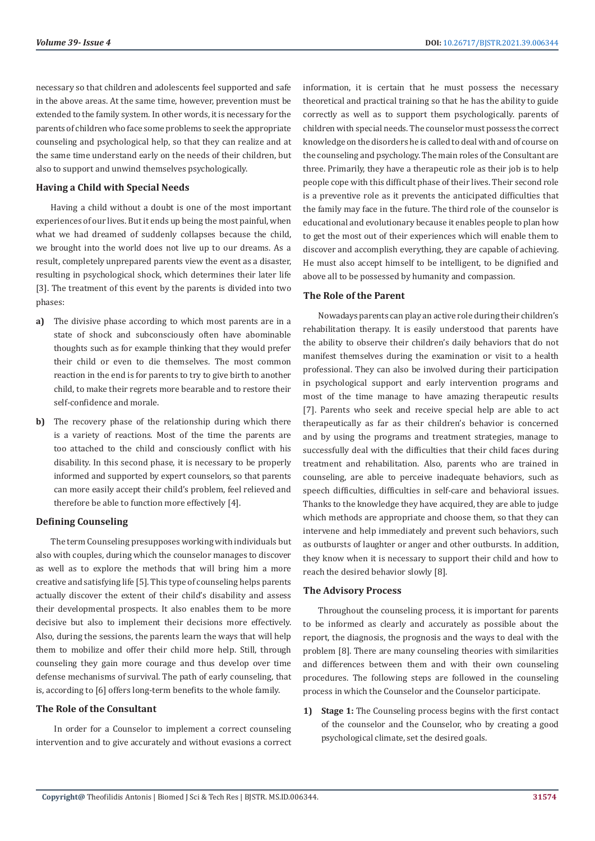necessary so that children and adolescents feel supported and safe in the above areas. At the same time, however, prevention must be extended to the family system. In other words, it is necessary for the parents of children who face some problems to seek the appropriate counseling and psychological help, so that they can realize and at the same time understand early on the needs of their children, but also to support and unwind themselves psychologically.

#### **Having a Child with Special Needs**

Having a child without a doubt is one of the most important experiences of our lives. But it ends up being the most painful, when what we had dreamed of suddenly collapses because the child, we brought into the world does not live up to our dreams. As a result, completely unprepared parents view the event as a disaster, resulting in psychological shock, which determines their later life [3]. The treatment of this event by the parents is divided into two phases:

- **a)** The divisive phase according to which most parents are in a state of shock and subconsciously often have abominable thoughts such as for example thinking that they would prefer their child or even to die themselves. The most common reaction in the end is for parents to try to give birth to another child, to make their regrets more bearable and to restore their self-confidence and morale.
- **b)** The recovery phase of the relationship during which there is a variety of reactions. Most of the time the parents are too attached to the child and consciously conflict with his disability. In this second phase, it is necessary to be properly informed and supported by expert counselors, so that parents can more easily accept their child's problem, feel relieved and therefore be able to function more effectively [4].

#### **Defining Counseling**

The term Counseling presupposes working with individuals but also with couples, during which the counselor manages to discover as well as to explore the methods that will bring him a more creative and satisfying life [5]. This type of counseling helps parents actually discover the extent of their child's disability and assess their developmental prospects. It also enables them to be more decisive but also to implement their decisions more effectively. Also, during the sessions, the parents learn the ways that will help them to mobilize and offer their child more help. Still, through counseling they gain more courage and thus develop over time defense mechanisms of survival. The path of early counseling, that is, according to [6] offers long-term benefits to the whole family.

### **The Role of the Consultant**

 In order for a Counselor to implement a correct counseling intervention and to give accurately and without evasions a correct information, it is certain that he must possess the necessary theoretical and practical training so that he has the ability to guide correctly as well as to support them psychologically. parents of children with special needs. The counselor must possess the correct knowledge on the disorders he is called to deal with and of course on the counseling and psychology. The main roles of the Consultant are three. Primarily, they have a therapeutic role as their job is to help people cope with this difficult phase of their lives. Their second role is a preventive role as it prevents the anticipated difficulties that the family may face in the future. The third role of the counselor is educational and evolutionary because it enables people to plan how to get the most out of their experiences which will enable them to discover and accomplish everything, they are capable of achieving. He must also accept himself to be intelligent, to be dignified and above all to be possessed by humanity and compassion.

### **The Role of the Parent**

Nowadays parents can play an active role during their children's rehabilitation therapy. It is easily understood that parents have the ability to observe their children's daily behaviors that do not manifest themselves during the examination or visit to a health professional. They can also be involved during their participation in psychological support and early intervention programs and most of the time manage to have amazing therapeutic results [7]. Parents who seek and receive special help are able to act therapeutically as far as their children's behavior is concerned and by using the programs and treatment strategies, manage to successfully deal with the difficulties that their child faces during treatment and rehabilitation. Also, parents who are trained in counseling, are able to perceive inadequate behaviors, such as speech difficulties, difficulties in self-care and behavioral issues. Thanks to the knowledge they have acquired, they are able to judge which methods are appropriate and choose them, so that they can intervene and help immediately and prevent such behaviors, such as outbursts of laughter or anger and other outbursts. In addition, they know when it is necessary to support their child and how to reach the desired behavior slowly [8].

#### **The Advisory Process**

Throughout the counseling process, it is important for parents to be informed as clearly and accurately as possible about the report, the diagnosis, the prognosis and the ways to deal with the problem [8]. There are many counseling theories with similarities and differences between them and with their own counseling procedures. The following steps are followed in the counseling process in which the Counselor and the Counselor participate.

**1) Stage 1:** The Counseling process begins with the first contact of the counselor and the Counselor, who by creating a good psychological climate, set the desired goals.